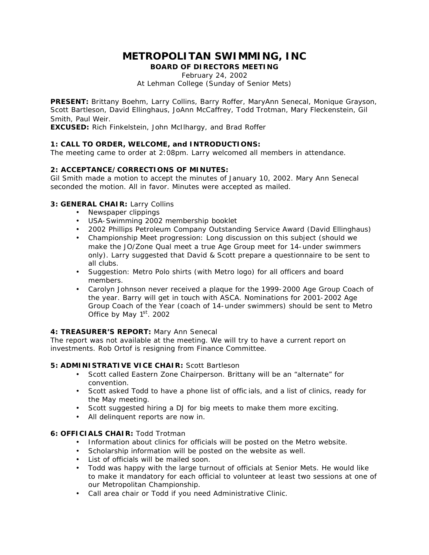# **METROPOLITAN SWIMMING, INC**

**BOARD OF DIRECTORS MEETING**

February 24, 2002 At Lehman College (Sunday of Senior Mets)

**PRESENT:** Brittany Boehm, Larry Collins, Barry Roffer, MaryAnn Senecal, Monique Grayson, Scott Bartleson, David Ellinghaus, JoAnn McCaffrey, Todd Trotman, Mary Fleckenstein, Gil Smith, Paul Weir.

**EXCUSED:** Rich Finkelstein, John McIlhargy, and Brad Roffer

## **1: CALL TO ORDER, WELCOME, and INTRODUCTIONS:**

The meeting came to order at 2:08pm. Larry welcomed all members in attendance.

## **2: ACCEPTANCE/CORRECTIONS OF MINUTES:**

Gil Smith made a motion to accept the minutes of January 10, 2002. Mary Ann Senecal seconded the motion. All in favor. Minutes were accepted as mailed.

## **3: GENERAL CHAIR:** Larry Collins

- Newspaper clippings
- USA-Swimming 2002 membership booklet
- 2002 Phillips Petroleum Company Outstanding Service Award (David Ellinghaus)
- Championship Meet progression: Long discussion on this subject (should we make the JO/Zone Qual meet a true Age Group meet for 14-under swimmers only). Larry suggested that David & Scott prepare a questionnaire to be sent to all clubs.
- Suggestion: Metro Polo shirts (with Metro logo) for all officers and board members.
- Carolyn Johnson never received a plaque for the 1999-2000 Age Group Coach of the year. Barry will get in touch with ASCA. Nominations for 2001-2002 Age Group Coach of the Year (coach of 14-under swimmers) should be sent to Metro Office by May  $1<sup>st</sup>$ . 2002

## **4: TREASURER'S REPORT:** Mary Ann Senecal

The report was not available at the meeting. We will try to have a current report on investments. Rob Ortof is resigning from Finance Committee.

#### **5: ADMINISTRATIVE VICE CHAIR:** Scott Bartleson

- Scott called Eastern Zone Chairperson. Brittany will be an "alternate" for convention.
- Scott asked Todd to have a phone list of offic ials, and a list of clinics, ready for the May meeting.
- Scott suggested hiring a DJ for big meets to make them more exciting.
- All delinquent reports are now in.

#### **6: OFFICIALS CHAIR:** Todd Trotman

- Information about clinics for officials will be posted on the Metro website.
- Scholarship information will be posted on the website as well.
- List of officials will be mailed soon.
- Todd was happy with the large turnout of officials at Senior Mets. He would like to make it mandatory for each official to volunteer at least two sessions at one of our Metropolitan Championship.
- Call area chair or Todd if you need Administrative Clinic.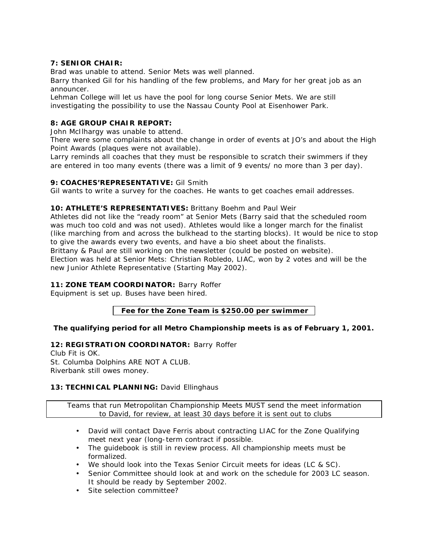## **7: SENIOR CHAIR:**

Brad was unable to attend. Senior Mets was well planned.

Barry thanked Gil for his handling of the few problems, and Mary for her great job as an announcer.

Lehman College will let us have the pool for long course Senior Mets. We are still investigating the possibility to use the Nassau County Pool at Eisenhower Park.

# **8: AGE GROUP CHAIR REPORT:**

John McIlhargy was unable to attend.

There were some complaints about the change in order of events at JO's and about the High Point Awards (plaques were not available).

Larry reminds all coaches that they must be responsible to scratch their swimmers if they are entered in too many events (there was a limit of 9 events/ no more than 3 per day).

## **9: COACHES'REPRESENTATIVE:** Gil Smith

Gil wants to write a survey for the coaches. He wants to get coaches email addresses.

## **10: ATHLETE'S REPRESENTATIVES:** Brittany Boehm and Paul Weir

Athletes did not like the "ready room" at Senior Mets (Barry said that the scheduled room was much too cold and was not used). Athletes would like a longer march for the finalist (like marching from and across the bulkhead to the starting blocks). It would be nice to stop to give the awards every two events, and have a bio sheet about the finalists. Brittany & Paul are still working on the newsletter (could be posted on website). Election was held at Senior Mets: Christian Robledo, LIAC, won by 2 votes and will be the new Junior Athlete Representative (Starting May 2002).

## **11: ZONE TEAM COORDINATOR:** Barry Roffer

Equipment is set up. Buses have been hired.

## **Fee for the Zone Team is \$250.00 per swimmer**

## **The qualifying period for all Metro Championship meets is as of February 1, 2001.**

## **12: REGISTRATION COORDINATOR:** Barry Roffer

Club Fit is OK. St. Columba Dolphins ARE NOT A CLUB. Riverbank still owes money.

## **13: TECHNICAL PLANNING:** David Ellinghaus

Teams that run Metropolitan Championship Meets MUST send the meet information to David, for review, at least 30 days before it is sent out to clubs

- David will contact Dave Ferris about contracting LIAC for the Zone Qualifying meet next year (long-term contract if possible.
- The guidebook is still in review process. All championship meets must be formalized.
- We should look into the Texas Senior Circuit meets for ideas (LC & SC).
- Senior Committee should look at and work on the schedule for 2003 LC season. It should be ready by September 2002.
- Site selection committee?